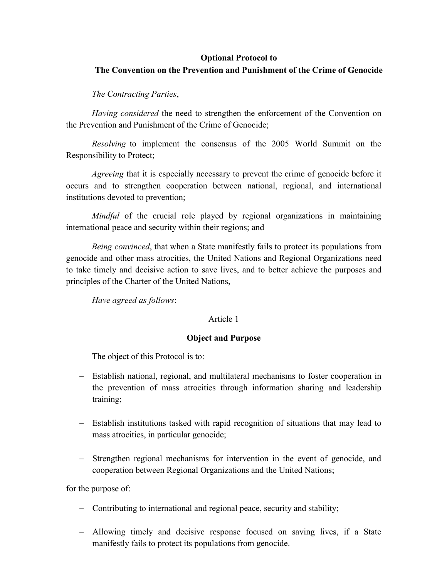# **Optional Protocol to**

# **The Convention on the Prevention and Punishment of the Crime of Genocide**

## *The Contracting Parties*,

*Having considered* the need to strengthen the enforcement of the Convention on the Prevention and Punishment of the Crime of Genocide;

*Resolving* to implement the consensus of the 2005 World Summit on the Responsibility to Protect;

*Agreeing* that it is especially necessary to prevent the crime of genocide before it occurs and to strengthen cooperation between national, regional, and international institutions devoted to prevention;

*Mindful* of the crucial role played by regional organizations in maintaining international peace and security within their regions; and

*Being convinced*, that when a State manifestly fails to protect its populations from genocide and other mass atrocities, the United Nations and Regional Organizations need to take timely and decisive action to save lives, and to better achieve the purposes and principles of the Charter of the United Nations,

*Have agreed as follows*:

#### Article 1

### **Object and Purpose**

The object of this Protocol is to:

- Establish national, regional, and multilateral mechanisms to foster cooperation in the prevention of mass atrocities through information sharing and leadership training;
- Establish institutions tasked with rapid recognition of situations that may lead to mass atrocities, in particular genocide;
- Strengthen regional mechanisms for intervention in the event of genocide, and cooperation between Regional Organizations and the United Nations;

for the purpose of:

- Contributing to international and regional peace, security and stability;
- Allowing timely and decisive response focused on saving lives, if a State manifestly fails to protect its populations from genocide.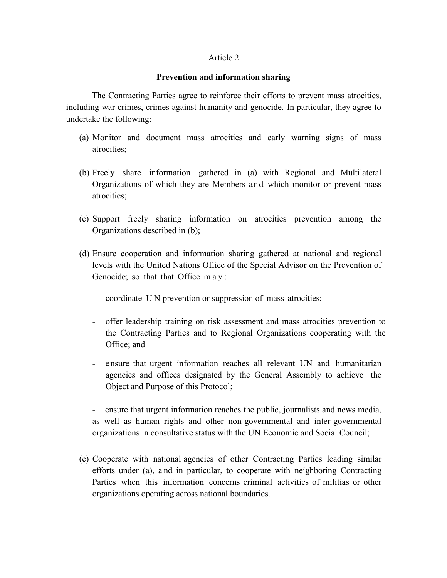## **Prevention and information sharing**

The Contracting Parties agree to reinforce their efforts to prevent mass atrocities, including war crimes, crimes against humanity and genocide. In particular, they agree to undertake the following:

- (a) Monitor and document mass atrocities and early warning signs of mass atrocities;
- (b) Freely share information gathered in (a) with Regional and Multilateral Organizations of which they are Members and which monitor or prevent mass atrocities;
- (c) Support freely sharing information on atrocities prevention among the Organizations described in (b);
- (d) Ensure cooperation and information sharing gathered at national and regional levels with the United Nations Office of the Special Advisor on the Prevention of Genocide; so that that Office may:
	- coordinate UN prevention or suppression of mass atrocities;
	- offer leadership training on risk assessment and mass atrocities prevention to the Contracting Parties and to Regional Organizations cooperating with the Office; and
	- ensure that urgent information reaches all relevant UN and humanitarian agencies and offices designated by the General Assembly to achieve the Object and Purpose of this Protocol;

- ensure that urgent information reaches the public, journalists and news media, as well as human rights and other non-governmental and inter-governmental organizations in consultative status with the UN Economic and Social Council;

(e) Cooperate with national agencies of other Contracting Parties leading similar efforts under (a), a nd in particular, to cooperate with neighboring Contracting Parties when this information concerns criminal activities of militias or other organizations operating across national boundaries.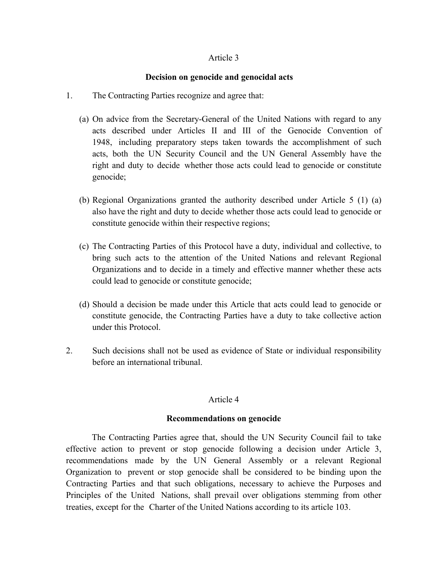### **Decision on genocide and genocidal acts**

- 1. The Contracting Parties recognize and agree that:
	- (a) On advice from the Secretary-General of the United Nations with regard to any acts described under Articles II and III of the Genocide Convention of 1948, including preparatory steps taken towards the accomplishment of such acts, both the UN Security Council and the UN General Assembly have the right and duty to decide whether those acts could lead to genocide or constitute genocide;
	- (b) Regional Organizations granted the authority described under Article 5 (1) (a) also have the right and duty to decide whether those acts could lead to genocide or constitute genocide within their respective regions;
	- (c) The Contracting Parties of this Protocol have a duty, individual and collective, to bring such acts to the attention of the United Nations and relevant Regional Organizations and to decide in a timely and effective manner whether these acts could lead to genocide or constitute genocide;
	- (d) Should a decision be made under this Article that acts could lead to genocide or constitute genocide, the Contracting Parties have a duty to take collective action under this Protocol.
- 2. Such decisions shall not be used as evidence of State or individual responsibility before an international tribunal.

# Article 4

#### **Recommendations on genocide**

The Contracting Parties agree that, should the UN Security Council fail to take effective action to prevent or stop genocide following a decision under Article 3, recommendations made by the UN General Assembly or a relevant Regional Organization to prevent or stop genocide shall be considered to be binding upon the Contracting Parties and that such obligations, necessary to achieve the Purposes and Principles of the United Nations, shall prevail over obligations stemming from other treaties, except for the Charter of the United Nations according to its article 103.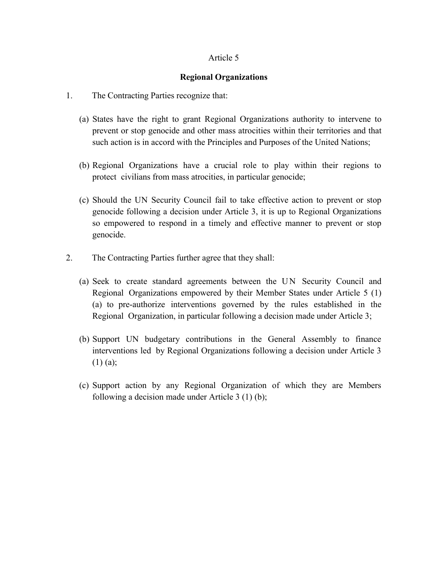### **Regional Organizations**

- 1. The Contracting Parties recognize that:
	- (a) States have the right to grant Regional Organizations authority to intervene to prevent or stop genocide and other mass atrocities within their territories and that such action is in accord with the Principles and Purposes of the United Nations;
	- (b) Regional Organizations have a crucial role to play within their regions to protect civilians from mass atrocities, in particular genocide;
	- (c) Should the UN Security Council fail to take effective action to prevent or stop genocide following a decision under Article 3, it is up to Regional Organizations so empowered to respond in a timely and effective manner to prevent or stop genocide.
- 2. The Contracting Parties further agree that they shall:
	- (a) Seek to create standard agreements between the UN Security Council and Regional Organizations empowered by their Member States under Article 5 (1) (a) to pre-authorize interventions governed by the rules established in the Regional Organization, in particular following a decision made under Article 3;
	- (b) Support UN budgetary contributions in the General Assembly to finance interventions led by Regional Organizations following a decision under Article 3 (1) (a);
	- (c) Support action by any Regional Organization of which they are Members following a decision made under Article 3 (1) (b);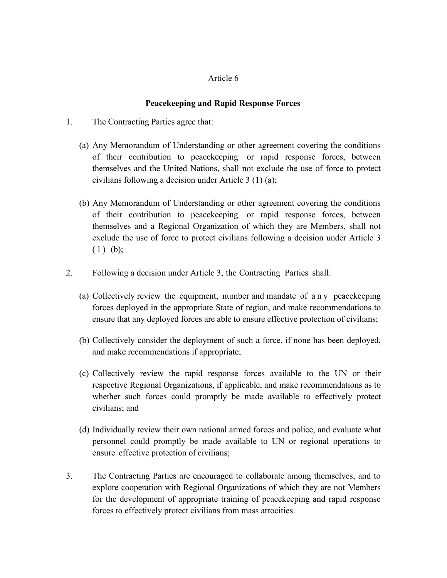# **Peacekeeping and Rapid Response Forces**

- 1. The Contracting Parties agree that:
	- (a) Any Memorandum of Understanding or other agreement covering the conditions of their contribution to peacekeeping or rapid response forces, between themselves and the United Nations, shall not exclude the use of force to protect civilians following a decision under Article 3 (1) (a);
	- (b) Any Memorandum of Understanding or other agreement covering the conditions of their contribution to peacekeeping or rapid response forces, between themselves and a Regional Organization of which they are Members, shall not exclude the use of force to protect civilians following a decision under Article 3 (1) (b);
- 2. Following a decision under Article 3, the Contracting Parties shall:
	- (a) Collectively review the equipment, number and mandate of any peacekeeping forces deployed in the appropriate State of region, and make recommendations to ensure that any deployed forces are able to ensure effective protection of civilians;
	- (b) Collectively consider the deployment of such a force, if none has been deployed, and make recommendations if appropriate;
	- (c) Collectively review the rapid response forces available to the UN or their respective Regional Organizations, if applicable, and make recommendations as to whether such forces could promptly be made available to effectively protect civilians; and
	- (d) Individually review their own national armed forces and police, and evaluate what personnel could promptly be made available to UN or regional operations to ensure effective protection of civilians;
- 3. The Contracting Parties are encouraged to collaborate among themselves, and to explore cooperation with Regional Organizations of which they are not Members for the development of appropriate training of peacekeeping and rapid response forces to effectively protect civilians from mass atrocities.